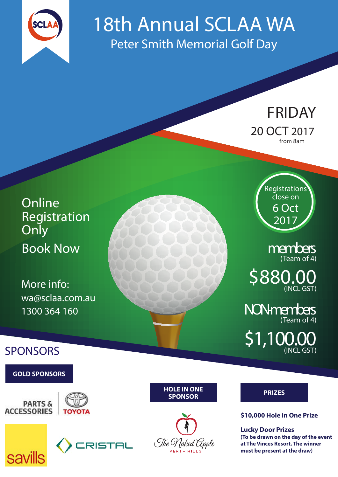

# 18th Annual SCLAA WA Peter Smith Memorial Golf Day

FRIDAY 20 OCT 2017 from 8am

**Online** [Registration](https://scalaoal.wildapricot.org/widget/event-2553530)  **Only** Book Now

More info: [wa@sclaa.com.au](mailto:wa%40sclaa.com.au?subject=2017%20WA%20Golf%20Day%20Enquiry)  1300 364 160 NON-members

**SPONSORS** 

**GOLD SPONSORS**











**HOLE IN ONE** 



**PRIZES**

## non-members **\$10,000 Hole in One Prize**

**Lucky Door Prizes (To be drawn on the day of the event at The Vinces Resort. The winner must be present at the draw)**

**Registrations** close on 6 Oct 2017

> members (Team of 4)

\$880.0 (INCL GST)

(Team of 4)

\$1,100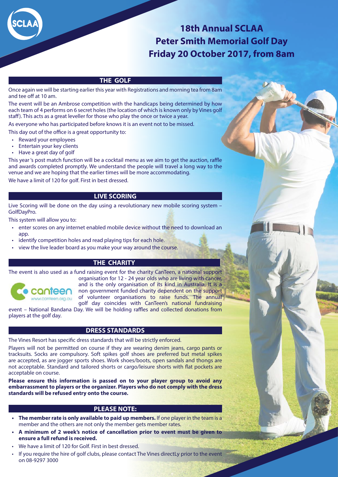

### **18th Annual SCLAA Peter Smith Memorial Golf Day Friday 20 October 2017, from 8am**

#### **THE GOLF**

Once again we will be starting earlier this year with Registrations and morning tea from 8am and tee off at 10 am.

The event will be an Ambrose competition with the handicaps being determined by how each team of 4 performs on 6 secret holes (the location of which is known only by Vines golf staff). This acts as a great leveller for those who play the once or twice a year.

As everyone who has participated before knows it is an event not to be missed.

This day out of the office is a great opportunity to:

- Reward your employees
- Entertain your key clients
- Have a great day of golf

This year 's post match function will be a cocktail menu as we aim to get the auction, raffle and awards completed promptly. We understand the people will travel a long way to the venue and we are hoping that the earlier times will be more accommodating. We have a limit of 120 for golf. First in best dressed.

#### **LIVE SCORING**

Live Scoring will be done on the day using a revolutionary new mobile scoring system – GolfDayPro.

This system will allow you to:

- enter scores on any internet enabled mobile device without the need to download an app.
- identify competition holes and read playing tips for each hole.
- view the live leader board as you make your way around the course.

#### **THE CHARITY**

The event is also used as a fund raising event for the charity CanTeen, a national support



organisation for 12 - 24 year olds who are living with cancer, and is the only organisation of its kind in Australia, It is a non government funded charity dependent on the support of volunteer organisations to raise funds. The annual golf day coincides with CanTeen's national fundraising

event – National Bandana Day. We will be holding raffles and collected donations from players at the golf day.

#### **DRESS STANDARDS**

The Vines Resort has specific dress standards that will be strictly enforced.

Players will not be permitted on course if they are wearing denim jeans, cargo pants or tracksuits. Socks are compulsory. Soft spikes golf shoes are preferred but metal spikes are accepted, as are jogger sports shoes. Work shoes/boots, open sandals and thongs are not acceptable. Standard and tailored shorts or cargo/leisure shorts with flat pockets are acceptable on course.

**Please ensure this information is passed on to your player group to avoid any embarrassment to players or the organizer. Players who do not comply with the dress standards will be refused entry onto the course.**

#### **PLEASE NOTE:**

- **• The member rate is only available to paid up members.** If one player in the team is a member and the others are not only the member gets member rates.
- **• A minimum of 2 week's notice of cancellation prior to event must be given to ensure a full refund is received.**
- We have a limit of 120 for Golf. First in best dressed.
- If you require the hire of golf clubs, please contact The Vines directLy prior to the event on 08-9297 3000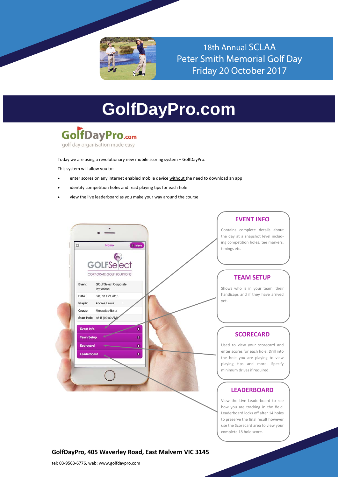

18th Annual SCLAA Peter Smith Memorial Golf Day Friday 20 October 2017

## **GolfDayPro.com**



golf day organisation made easy

Today we are using a revolutionary new mobile scoring system – GolfDayPro.

This system will allow you to:

- enter scores on any internet enabled mobile device without the need to download an app
- identify competition holes and read playing tips for each hole
- view the live leaderboard as you make your way around the course



**EVENT INFO**

Contains complete details about the day at a snapshot level including competition holes, tee markers, timings etc.

#### **TEAM SETUP**

Shows who is in your team, their handicaps and if they have arrived yet.

#### **SCORECARD**

Used to view your scorecard and enter scores for each hole. Drill into the hole you are playing to view playing tips and more. Specify minimum drives if required.

#### **LEADERBOARD**

View the Live Leaderboard to see how you are tracking in the field. Leaderboard locks off after 14 holes to preserve the final result however use the Scorecard area to view your complete 18 hole score.

#### **[GolfDayPro, 405 Waverley Road, East Malvern VIC 3145](http://www.golfdays.com.au/About.aspx)**